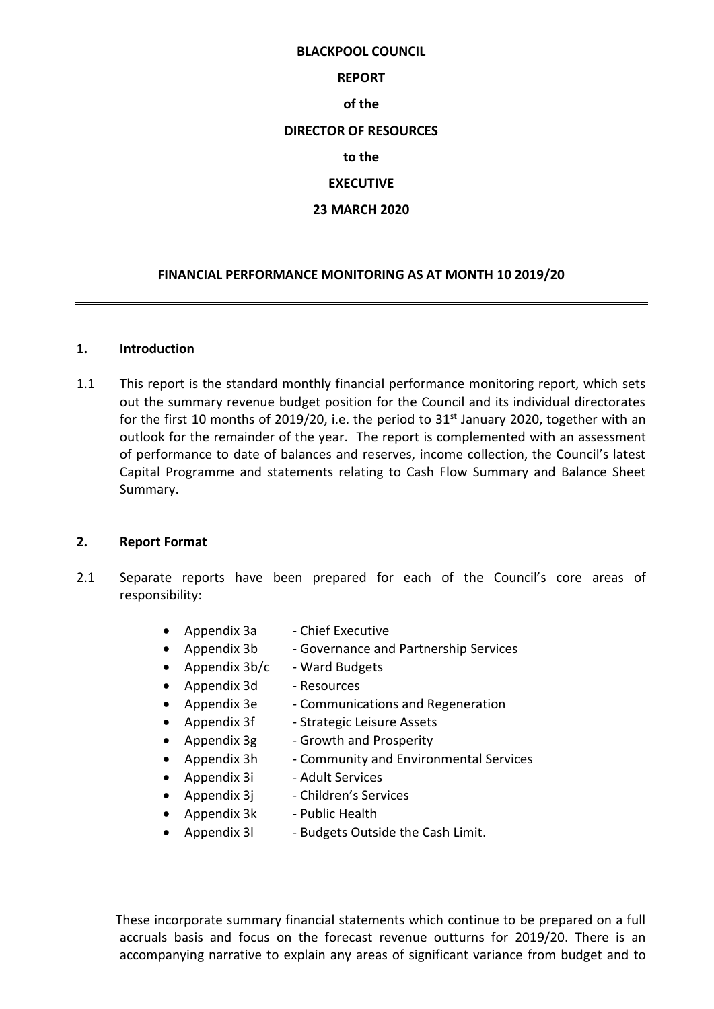# **BLACKPOOL COUNCIL**

### **REPORT**

### **of the**

### **DIRECTOR OF RESOURCES**

### **to the**

# **EXECUTIVE**

# **23 MARCH 2020**

### **FINANCIAL PERFORMANCE MONITORING AS AT MONTH 10 2019/20**

### **1. Introduction**

1.1 This report is the standard monthly financial performance monitoring report, which sets out the summary revenue budget position for the Council and its individual directorates for the first 10 months of 2019/20, i.e. the period to 31<sup>st</sup> January 2020, together with an outlook for the remainder of the year. The report is complemented with an assessment of performance to date of balances and reserves, income collection, the Council's latest Capital Programme and statements relating to Cash Flow Summary and Balance Sheet Summary.

### **2. Report Format**

- 2.1 Separate reports have been prepared for each of the Council's core areas of responsibility:
	- Appendix 3a Chief Executive
	- Appendix 3b Governance and Partnership Services
	- Appendix  $3b/c$  Ward Budgets
	- Appendix 3d Resources
	- Appendix 3e Communications and Regeneration
	- Appendix 3f Strategic Leisure Assets
	- Appendix 3g Growth and Prosperity
	- Appendix 3h Community and Environmental Services
	- Appendix 3i Adult Services
	- Appendix  $3j$  Children's Services
	- Appendix 3k Public Health
	- Appendix 31 Budgets Outside the Cash Limit.

 These incorporate summary financial statements which continue to be prepared on a full accruals basis and focus on the forecast revenue outturns for 2019/20. There is an accompanying narrative to explain any areas of significant variance from budget and to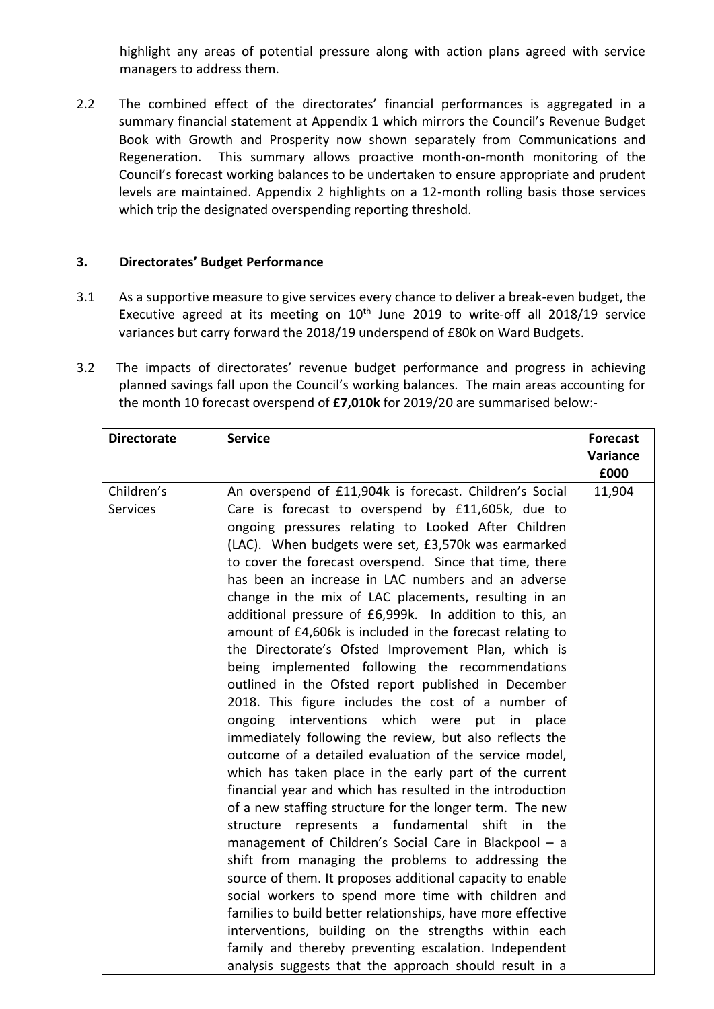highlight any areas of potential pressure along with action plans agreed with service managers to address them.

2.2 The combined effect of the directorates' financial performances is aggregated in a summary financial statement at Appendix 1 which mirrors the Council's Revenue Budget Book with Growth and Prosperity now shown separately from Communications and Regeneration. This summary allows proactive month-on-month monitoring of the Council's forecast working balances to be undertaken to ensure appropriate and prudent levels are maintained. Appendix 2 highlights on a 12-month rolling basis those services which trip the designated overspending reporting threshold.

# **3. Directorates' Budget Performance**

- 3.1 As a supportive measure to give services every chance to deliver a break-even budget, the Executive agreed at its meeting on  $10<sup>th</sup>$  June 2019 to write-off all 2018/19 service variances but carry forward the 2018/19 underspend of £80k on Ward Budgets.
- 3.2 The impacts of directorates' revenue budget performance and progress in achieving planned savings fall upon the Council's working balances. The main areas accounting for the month 10 forecast overspend of **£7,010k** for 2019/20 are summarised below:-

| <b>Directorate</b> | <b>Service</b>                                                                                                        | <b>Forecast</b> |
|--------------------|-----------------------------------------------------------------------------------------------------------------------|-----------------|
|                    |                                                                                                                       | Variance        |
|                    |                                                                                                                       | £000            |
| Children's         | An overspend of £11,904k is forecast. Children's Social                                                               | 11,904          |
| <b>Services</b>    | Care is forecast to overspend by £11,605k, due to                                                                     |                 |
|                    | ongoing pressures relating to Looked After Children                                                                   |                 |
|                    | (LAC). When budgets were set, £3,570k was earmarked                                                                   |                 |
|                    | to cover the forecast overspend. Since that time, there                                                               |                 |
|                    | has been an increase in LAC numbers and an adverse                                                                    |                 |
|                    | change in the mix of LAC placements, resulting in an                                                                  |                 |
|                    | additional pressure of £6,999k. In addition to this, an                                                               |                 |
|                    | amount of £4,606k is included in the forecast relating to                                                             |                 |
|                    | the Directorate's Ofsted Improvement Plan, which is                                                                   |                 |
|                    | being implemented following the recommendations                                                                       |                 |
|                    | outlined in the Ofsted report published in December                                                                   |                 |
|                    | 2018. This figure includes the cost of a number of                                                                    |                 |
|                    | ongoing interventions which were put in place                                                                         |                 |
|                    | immediately following the review, but also reflects the                                                               |                 |
|                    | outcome of a detailed evaluation of the service model,                                                                |                 |
|                    | which has taken place in the early part of the current                                                                |                 |
|                    | financial year and which has resulted in the introduction<br>of a new staffing structure for the longer term. The new |                 |
|                    | represents a fundamental<br>shift<br>structure<br>the<br>in                                                           |                 |
|                    | management of Children's Social Care in Blackpool - a                                                                 |                 |
|                    | shift from managing the problems to addressing the                                                                    |                 |
|                    | source of them. It proposes additional capacity to enable                                                             |                 |
|                    | social workers to spend more time with children and                                                                   |                 |
|                    | families to build better relationships, have more effective                                                           |                 |
|                    | interventions, building on the strengths within each                                                                  |                 |
|                    | family and thereby preventing escalation. Independent                                                                 |                 |
|                    | analysis suggests that the approach should result in a                                                                |                 |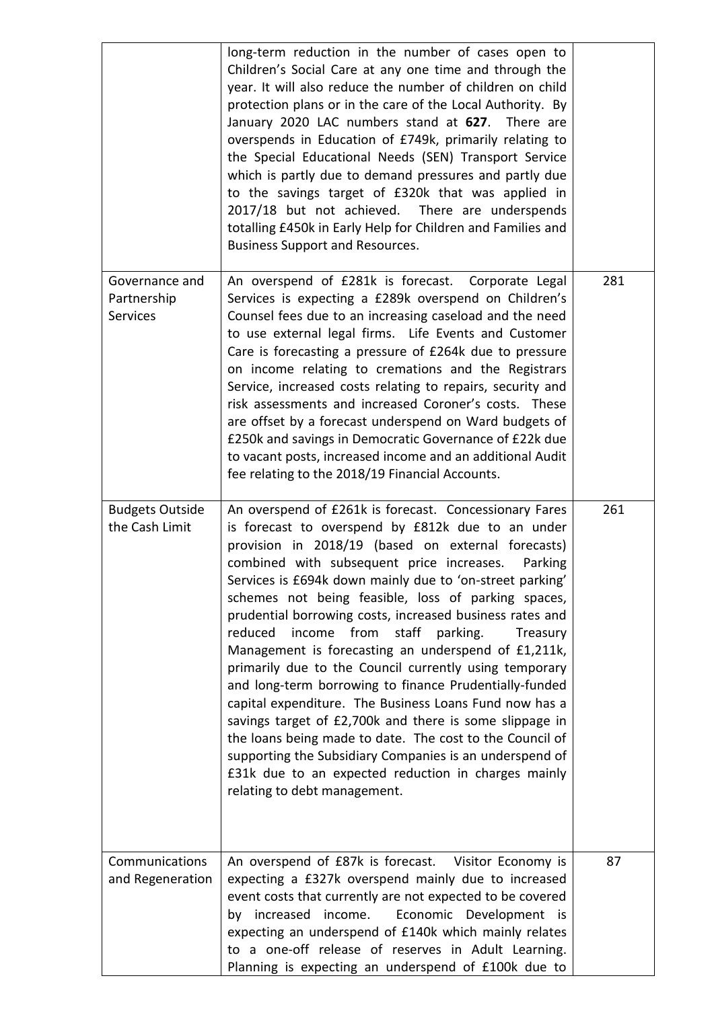|                                                  | long-term reduction in the number of cases open to<br>Children's Social Care at any one time and through the<br>year. It will also reduce the number of children on child<br>protection plans or in the care of the Local Authority. By<br>January 2020 LAC numbers stand at 627. There are<br>overspends in Education of £749k, primarily relating to<br>the Special Educational Needs (SEN) Transport Service<br>which is partly due to demand pressures and partly due<br>to the savings target of £320k that was applied in<br>2017/18 but not achieved. There are underspends<br>totalling £450k in Early Help for Children and Families and<br><b>Business Support and Resources.</b>                                                                                                                                                                                                                                                                                    |     |
|--------------------------------------------------|--------------------------------------------------------------------------------------------------------------------------------------------------------------------------------------------------------------------------------------------------------------------------------------------------------------------------------------------------------------------------------------------------------------------------------------------------------------------------------------------------------------------------------------------------------------------------------------------------------------------------------------------------------------------------------------------------------------------------------------------------------------------------------------------------------------------------------------------------------------------------------------------------------------------------------------------------------------------------------|-----|
| Governance and<br>Partnership<br><b>Services</b> | An overspend of £281k is forecast. Corporate Legal<br>Services is expecting a £289k overspend on Children's<br>Counsel fees due to an increasing caseload and the need<br>to use external legal firms. Life Events and Customer<br>Care is forecasting a pressure of £264k due to pressure<br>on income relating to cremations and the Registrars<br>Service, increased costs relating to repairs, security and<br>risk assessments and increased Coroner's costs. These<br>are offset by a forecast underspend on Ward budgets of<br>£250k and savings in Democratic Governance of £22k due<br>to vacant posts, increased income and an additional Audit<br>fee relating to the 2018/19 Financial Accounts.                                                                                                                                                                                                                                                                   | 281 |
| <b>Budgets Outside</b><br>the Cash Limit         | An overspend of £261k is forecast. Concessionary Fares<br>is forecast to overspend by £812k due to an under<br>provision in 2018/19 (based on external forecasts)<br>combined with subsequent price increases.<br>Parking<br>Services is £694k down mainly due to 'on-street parking'<br>schemes not being feasible, loss of parking spaces,<br>prudential borrowing costs, increased business rates and<br>reduced<br>income from staff<br>parking.<br>Treasury<br>Management is forecasting an underspend of £1,211k,<br>primarily due to the Council currently using temporary<br>and long-term borrowing to finance Prudentially-funded<br>capital expenditure. The Business Loans Fund now has a<br>savings target of £2,700k and there is some slippage in<br>the loans being made to date. The cost to the Council of<br>supporting the Subsidiary Companies is an underspend of<br>£31k due to an expected reduction in charges mainly<br>relating to debt management. | 261 |
| Communications<br>and Regeneration               | An overspend of £87k is forecast. Visitor Economy is<br>expecting a £327k overspend mainly due to increased<br>event costs that currently are not expected to be covered<br>Economic Development is<br>by increased income.<br>expecting an underspend of £140k which mainly relates<br>to a one-off release of reserves in Adult Learning.<br>Planning is expecting an underspend of £100k due to                                                                                                                                                                                                                                                                                                                                                                                                                                                                                                                                                                             | 87  |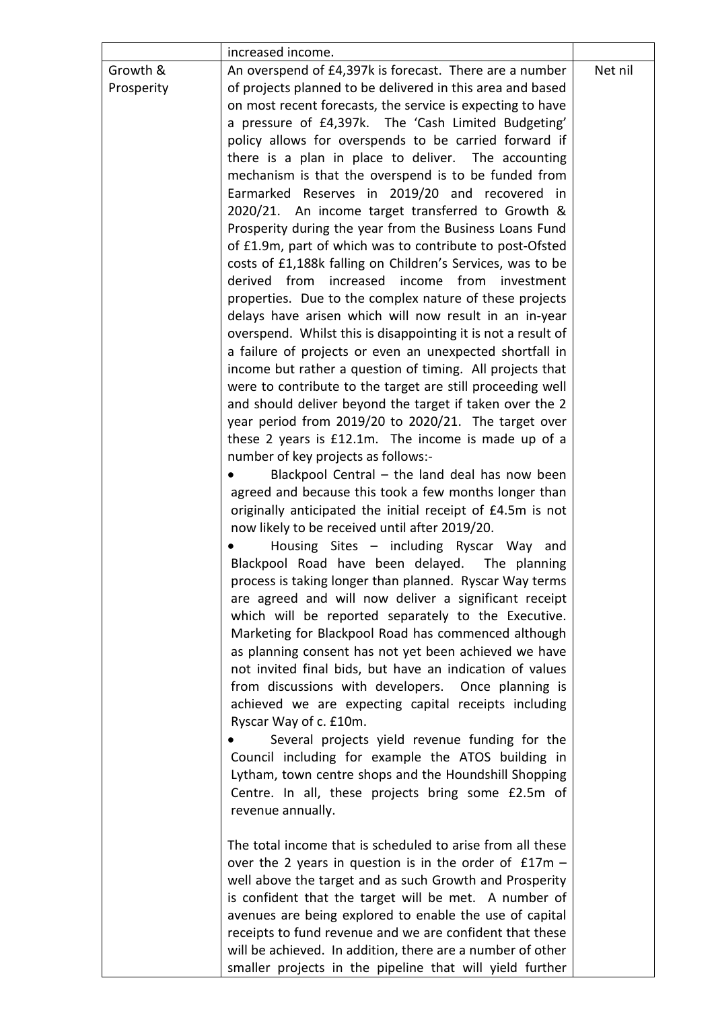|            | increased income.                                             |         |
|------------|---------------------------------------------------------------|---------|
| Growth &   | An overspend of £4,397k is forecast. There are a number       | Net nil |
| Prosperity | of projects planned to be delivered in this area and based    |         |
|            | on most recent forecasts, the service is expecting to have    |         |
|            | a pressure of £4,397k. The 'Cash Limited Budgeting'           |         |
|            | policy allows for overspends to be carried forward if         |         |
|            | there is a plan in place to deliver. The accounting           |         |
|            | mechanism is that the overspend is to be funded from          |         |
|            | Earmarked Reserves in 2019/20 and recovered in                |         |
|            | 2020/21. An income target transferred to Growth &             |         |
|            | Prosperity during the year from the Business Loans Fund       |         |
|            | of £1.9m, part of which was to contribute to post-Ofsted      |         |
|            | costs of £1,188k falling on Children's Services, was to be    |         |
|            | derived from increased income from investment                 |         |
|            | properties. Due to the complex nature of these projects       |         |
|            | delays have arisen which will now result in an in-year        |         |
|            | overspend. Whilst this is disappointing it is not a result of |         |
|            | a failure of projects or even an unexpected shortfall in      |         |
|            | income but rather a question of timing. All projects that     |         |
|            | were to contribute to the target are still proceeding well    |         |
|            | and should deliver beyond the target if taken over the 2      |         |
|            | year period from 2019/20 to 2020/21. The target over          |         |
|            | these 2 years is £12.1m. The income is made up of a           |         |
|            | number of key projects as follows:-                           |         |
|            | Blackpool Central - the land deal has now been                |         |
|            | agreed and because this took a few months longer than         |         |
|            | originally anticipated the initial receipt of £4.5m is not    |         |
|            | now likely to be received until after 2019/20.                |         |
|            | Housing Sites - including Ryscar Way and                      |         |
|            | Blackpool Road have been delayed. The planning                |         |
|            | process is taking longer than planned. Ryscar Way terms       |         |
|            | are agreed and will now deliver a significant receipt         |         |
|            | which will be reported separately to the Executive.           |         |
|            | Marketing for Blackpool Road has commenced although           |         |
|            | as planning consent has not yet been achieved we have         |         |
|            | not invited final bids, but have an indication of values      |         |
|            | from discussions with developers. Once planning is            |         |
|            | achieved we are expecting capital receipts including          |         |
|            | Ryscar Way of c. £10m.                                        |         |
|            | Several projects yield revenue funding for the                |         |
|            | Council including for example the ATOS building in            |         |
|            | Lytham, town centre shops and the Houndshill Shopping         |         |
|            | Centre. In all, these projects bring some £2.5m of            |         |
|            | revenue annually.                                             |         |
|            |                                                               |         |
|            | The total income that is scheduled to arise from all these    |         |
|            | over the 2 years in question is in the order of $£17m -$      |         |
|            | well above the target and as such Growth and Prosperity       |         |
|            | is confident that the target will be met. A number of         |         |
|            | avenues are being explored to enable the use of capital       |         |
|            | receipts to fund revenue and we are confident that these      |         |
|            | will be achieved. In addition, there are a number of other    |         |
|            | smaller projects in the pipeline that will yield further      |         |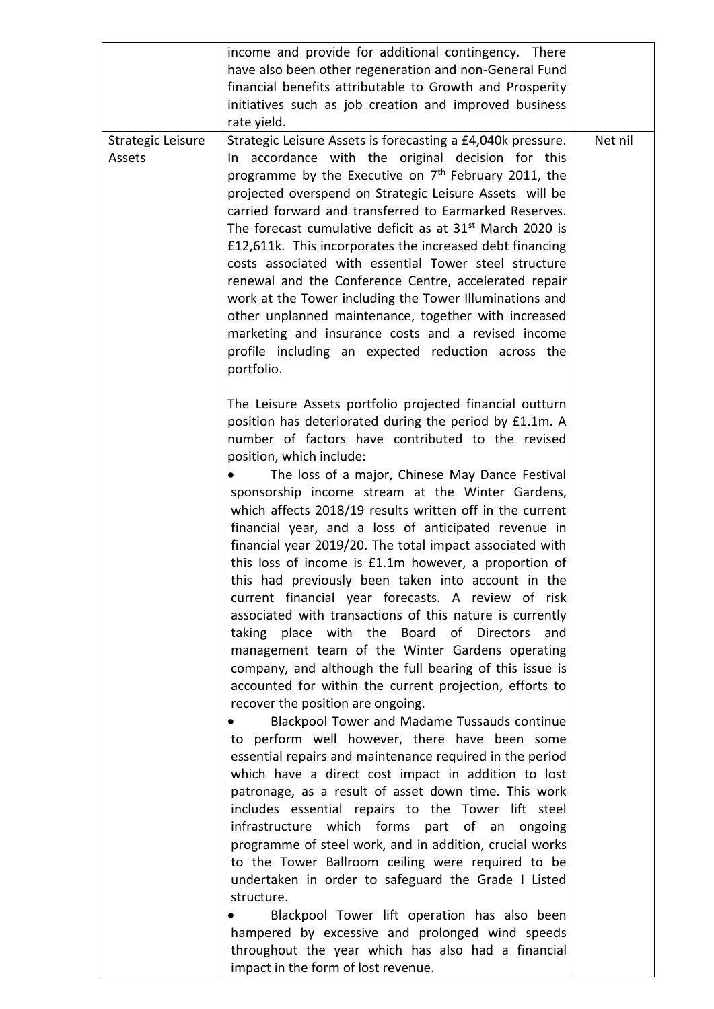|                             | income and provide for additional contingency. There<br>have also been other regeneration and non-General Fund<br>financial benefits attributable to Growth and Prosperity<br>initiatives such as job creation and improved business<br>rate yield.                                                                                                                                                                                                                                                                                                                                                                                                                                                                                                                                                                                                                                                                                                                                                                                                                                                                                                                                                                                                                                                                                                                                                                                                  |         |
|-----------------------------|------------------------------------------------------------------------------------------------------------------------------------------------------------------------------------------------------------------------------------------------------------------------------------------------------------------------------------------------------------------------------------------------------------------------------------------------------------------------------------------------------------------------------------------------------------------------------------------------------------------------------------------------------------------------------------------------------------------------------------------------------------------------------------------------------------------------------------------------------------------------------------------------------------------------------------------------------------------------------------------------------------------------------------------------------------------------------------------------------------------------------------------------------------------------------------------------------------------------------------------------------------------------------------------------------------------------------------------------------------------------------------------------------------------------------------------------------|---------|
| Strategic Leisure<br>Assets | Strategic Leisure Assets is forecasting a £4,040k pressure.<br>In accordance with the original decision for this<br>programme by the Executive on 7 <sup>th</sup> February 2011, the<br>projected overspend on Strategic Leisure Assets will be<br>carried forward and transferred to Earmarked Reserves.<br>The forecast cumulative deficit as at 31 <sup>st</sup> March 2020 is<br>£12,611k. This incorporates the increased debt financing<br>costs associated with essential Tower steel structure<br>renewal and the Conference Centre, accelerated repair<br>work at the Tower including the Tower Illuminations and<br>other unplanned maintenance, together with increased<br>marketing and insurance costs and a revised income<br>profile including an expected reduction across the<br>portfolio.                                                                                                                                                                                                                                                                                                                                                                                                                                                                                                                                                                                                                                         | Net nil |
|                             | The Leisure Assets portfolio projected financial outturn<br>position has deteriorated during the period by £1.1m. A<br>number of factors have contributed to the revised<br>position, which include:<br>The loss of a major, Chinese May Dance Festival<br>sponsorship income stream at the Winter Gardens,<br>which affects 2018/19 results written off in the current<br>financial year, and a loss of anticipated revenue in<br>financial year 2019/20. The total impact associated with<br>this loss of income is £1.1m however, a proportion of<br>this had previously been taken into account in the<br>current financial year forecasts. A review of risk<br>associated with transactions of this nature is currently<br>taking place with the Board of Directors<br>and<br>management team of the Winter Gardens operating<br>company, and although the full bearing of this issue is<br>accounted for within the current projection, efforts to<br>recover the position are ongoing.<br>Blackpool Tower and Madame Tussauds continue<br>to perform well however, there have been some<br>essential repairs and maintenance required in the period<br>which have a direct cost impact in addition to lost<br>patronage, as a result of asset down time. This work<br>includes essential repairs to the Tower lift steel<br>infrastructure which forms<br>part of<br>an<br>ongoing<br>programme of steel work, and in addition, crucial works |         |
|                             | to the Tower Ballroom ceiling were required to be<br>undertaken in order to safeguard the Grade I Listed<br>structure.<br>Blackpool Tower lift operation has also been<br>hampered by excessive and prolonged wind speeds<br>throughout the year which has also had a financial<br>impact in the form of lost revenue.                                                                                                                                                                                                                                                                                                                                                                                                                                                                                                                                                                                                                                                                                                                                                                                                                                                                                                                                                                                                                                                                                                                               |         |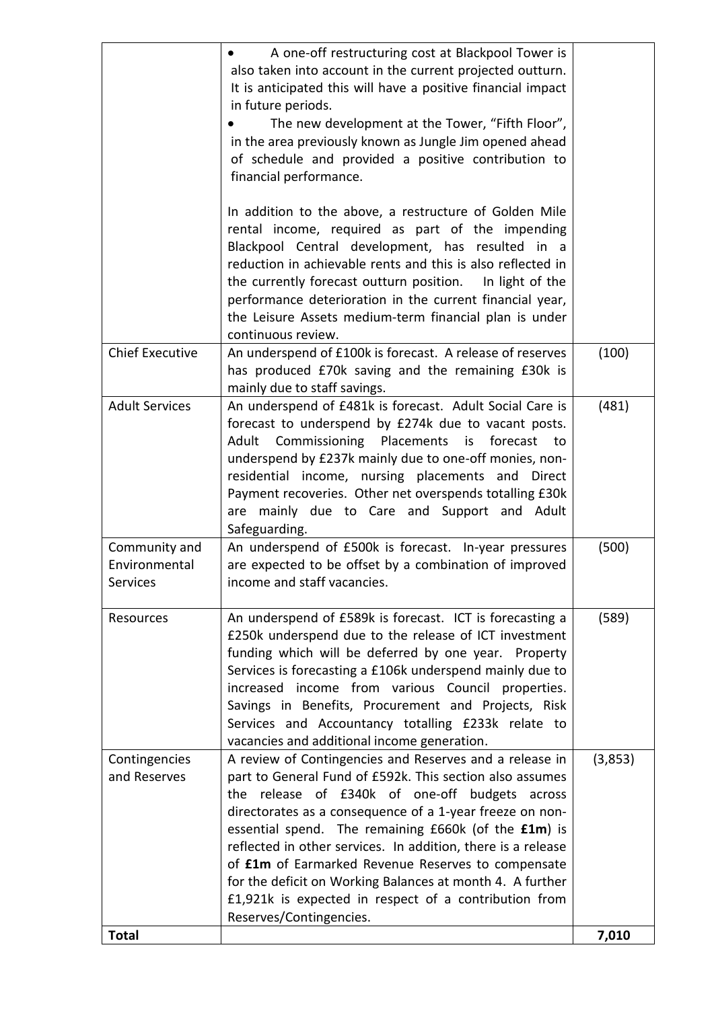|                                            | financial performance.<br>In addition to the above, a restructure of Golden Mile<br>rental income, required as part of the impending<br>Blackpool Central development, has resulted in a<br>reduction in achievable rents and this is also reflected in                                                                                                                                                                                                                                                                                                                 |         |
|--------------------------------------------|-------------------------------------------------------------------------------------------------------------------------------------------------------------------------------------------------------------------------------------------------------------------------------------------------------------------------------------------------------------------------------------------------------------------------------------------------------------------------------------------------------------------------------------------------------------------------|---------|
|                                            | the currently forecast outturn position.<br>In light of the<br>performance deterioration in the current financial year,<br>the Leisure Assets medium-term financial plan is under<br>continuous review.                                                                                                                                                                                                                                                                                                                                                                 |         |
| <b>Chief Executive</b>                     | An underspend of £100k is forecast. A release of reserves<br>has produced £70k saving and the remaining £30k is<br>mainly due to staff savings.                                                                                                                                                                                                                                                                                                                                                                                                                         | (100)   |
| <b>Adult Services</b>                      | An underspend of £481k is forecast. Adult Social Care is<br>forecast to underspend by £274k due to vacant posts.<br>Adult Commissioning Placements is forecast<br>to<br>underspend by £237k mainly due to one-off monies, non-<br>residential income, nursing placements and Direct<br>Payment recoveries. Other net overspends totalling £30k<br>are mainly due to Care and Support and Adult<br>Safeguarding.                                                                                                                                                         | (481)   |
| Community and<br>Environmental<br>Services | An underspend of £500k is forecast. In-year pressures<br>are expected to be offset by a combination of improved<br>income and staff vacancies.                                                                                                                                                                                                                                                                                                                                                                                                                          | (500)   |
| Resources                                  | An underspend of £589k is forecast. ICT is forecasting a<br>£250k underspend due to the release of ICT investment<br>funding which will be deferred by one year. Property<br>Services is forecasting a £106k underspend mainly due to<br>increased income from various Council properties.<br>Savings in Benefits, Procurement and Projects, Risk<br>Services and Accountancy totalling £233k relate to<br>vacancies and additional income generation.                                                                                                                  | (589)   |
| Contingencies<br>and Reserves              | A review of Contingencies and Reserves and a release in<br>part to General Fund of £592k. This section also assumes<br>the release of £340k of one-off budgets across<br>directorates as a consequence of a 1-year freeze on non-<br>essential spend. The remaining £660k (of the £1m) is<br>reflected in other services. In addition, there is a release<br>of <b>f1m</b> of Earmarked Revenue Reserves to compensate<br>for the deficit on Working Balances at month 4. A further<br>£1,921k is expected in respect of a contribution from<br>Reserves/Contingencies. | (3,853) |
| <b>Total</b>                               |                                                                                                                                                                                                                                                                                                                                                                                                                                                                                                                                                                         | 7,010   |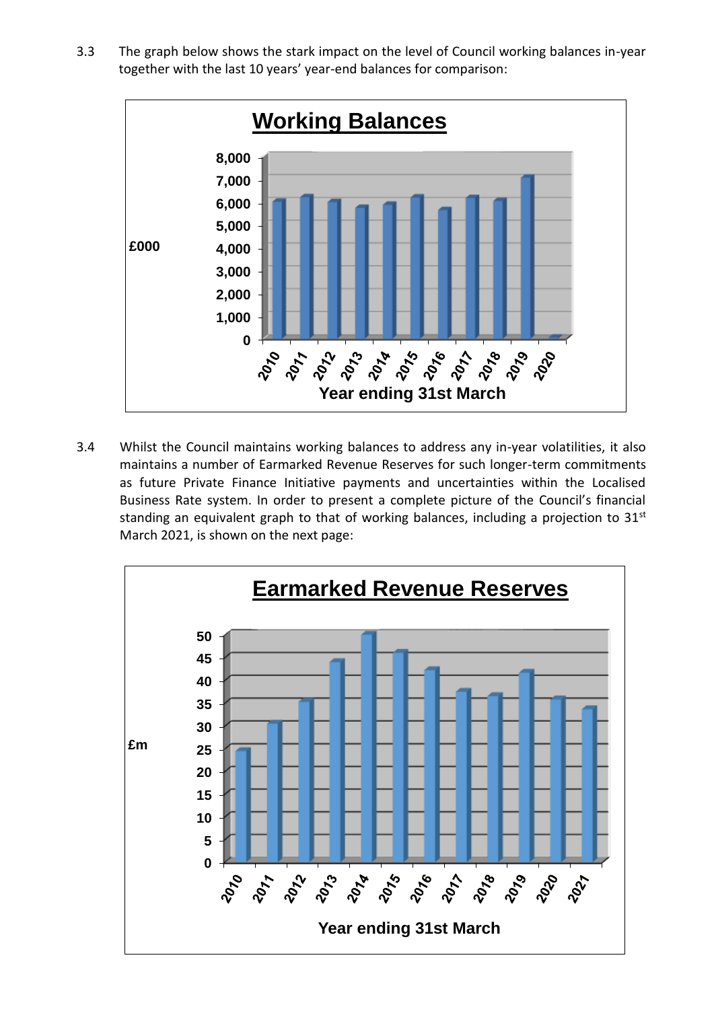3.3 The graph below shows the stark impact on the level of Council working balances in-year together with the last 10 years' year-end balances for comparison:



3.4 Whilst the Council maintains working balances to address any in-year volatilities, it also maintains a number of Earmarked Revenue Reserves for such longer-term commitments as future Private Finance Initiative payments and uncertainties within the Localised Business Rate system. In order to present a complete picture of the Council's financial standing an equivalent graph to that of working balances, including a projection to  $31<sup>st</sup>$ March 2021, is shown on the next page:

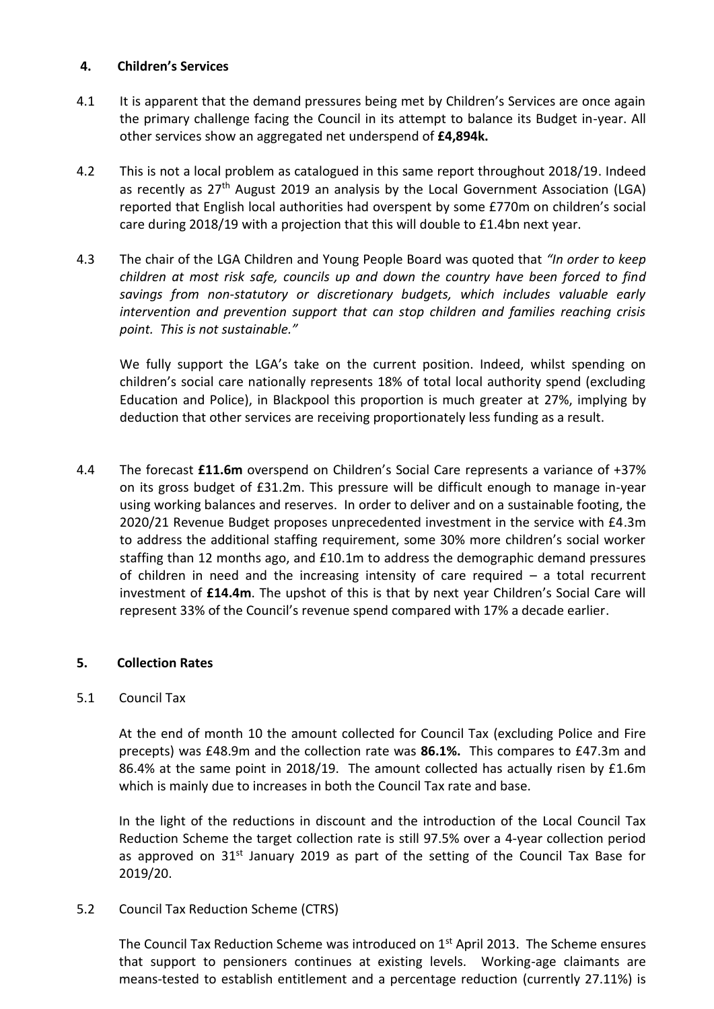### **4. Children's Services**

- 4.1 It is apparent that the demand pressures being met by Children's Services are once again the primary challenge facing the Council in its attempt to balance its Budget in-year. All other services show an aggregated net underspend of **£4,894k.**
- 4.2 This is not a local problem as catalogued in this same report throughout 2018/19. Indeed as recently as 27<sup>th</sup> August 2019 an analysis by the Local Government Association (LGA) reported that English local authorities had overspent by some £770m on children's social care during 2018/19 with a projection that this will double to £1.4bn next year.
- 4.3 The chair of the LGA Children and Young People Board was quoted that *"In order to keep children at most risk safe, councils up and down the country have been forced to find savings from non-statutory or discretionary budgets, which includes valuable early intervention and prevention support that can stop children and families reaching crisis point. This is not sustainable."*

We fully support the LGA's take on the current position. Indeed, whilst spending on children's social care nationally represents 18% of total local authority spend (excluding Education and Police), in Blackpool this proportion is much greater at 27%, implying by deduction that other services are receiving proportionately less funding as a result.

4.4 The forecast **£11.6m** overspend on Children's Social Care represents a variance of +37% on its gross budget of £31.2m. This pressure will be difficult enough to manage in-year using working balances and reserves. In order to deliver and on a sustainable footing, the 2020/21 Revenue Budget proposes unprecedented investment in the service with £4.3m to address the additional staffing requirement, some 30% more children's social worker staffing than 12 months ago, and £10.1m to address the demographic demand pressures of children in need and the increasing intensity of care required – a total recurrent investment of **£14.4m**. The upshot of this is that by next year Children's Social Care will represent 33% of the Council's revenue spend compared with 17% a decade earlier.

# **5. Collection Rates**

# 5.1 Council Tax

At the end of month 10 the amount collected for Council Tax (excluding Police and Fire precepts) was £48.9m and the collection rate was **86.1%.** This compares to £47.3m and 86.4% at the same point in 2018/19. The amount collected has actually risen by £1.6m which is mainly due to increases in both the Council Tax rate and base.

In the light of the reductions in discount and the introduction of the Local Council Tax Reduction Scheme the target collection rate is still 97.5% over a 4-year collection period as approved on  $31^{st}$  January 2019 as part of the setting of the Council Tax Base for 2019/20.

### 5.2 Council Tax Reduction Scheme (CTRS)

The Council Tax Reduction Scheme was introduced on  $1<sup>st</sup>$  April 2013. The Scheme ensures that support to pensioners continues at existing levels. Working-age claimants are means-tested to establish entitlement and a percentage reduction (currently 27.11%) is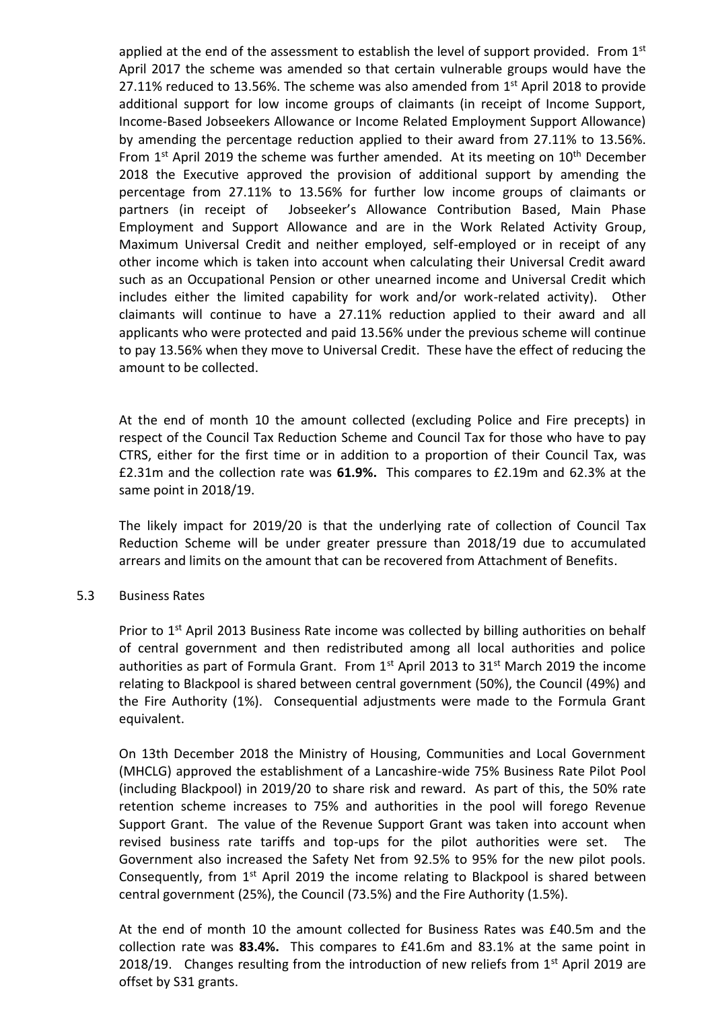applied at the end of the assessment to establish the level of support provided. From  $1<sup>st</sup>$ April 2017 the scheme was amended so that certain vulnerable groups would have the 27.11% reduced to 13.56%. The scheme was also amended from  $1<sup>st</sup>$  April 2018 to provide additional support for low income groups of claimants (in receipt of Income Support, Income-Based Jobseekers Allowance or Income Related Employment Support Allowance) by amending the percentage reduction applied to their award from 27.11% to 13.56%. From  $1<sup>st</sup>$  April 2019 the scheme was further amended. At its meeting on  $10<sup>th</sup>$  December 2018 the Executive approved the provision of additional support by amending the percentage from 27.11% to 13.56% for further low income groups of claimants or partners (in receipt of Jobseeker's Allowance Contribution Based, Main Phase Employment and Support Allowance and are in the Work Related Activity Group, Maximum Universal Credit and neither employed, self-employed or in receipt of any other income which is taken into account when calculating their Universal Credit award such as an Occupational Pension or other unearned income and Universal Credit which includes either the limited capability for work and/or work-related activity). Other claimants will continue to have a 27.11% reduction applied to their award and all applicants who were protected and paid 13.56% under the previous scheme will continue to pay 13.56% when they move to Universal Credit. These have the effect of reducing the amount to be collected.

At the end of month 10 the amount collected (excluding Police and Fire precepts) in respect of the Council Tax Reduction Scheme and Council Tax for those who have to pay CTRS, either for the first time or in addition to a proportion of their Council Tax, was £2.31m and the collection rate was **61.9%.** This compares to £2.19m and 62.3% at the same point in 2018/19.

The likely impact for 2019/20 is that the underlying rate of collection of Council Tax Reduction Scheme will be under greater pressure than 2018/19 due to accumulated arrears and limits on the amount that can be recovered from Attachment of Benefits.

### 5.3 Business Rates

Prior to 1<sup>st</sup> April 2013 Business Rate income was collected by billing authorities on behalf of central government and then redistributed among all local authorities and police authorities as part of Formula Grant. From  $1<sup>st</sup>$  April 2013 to 31 $<sup>st</sup>$  March 2019 the income</sup> relating to Blackpool is shared between central government (50%), the Council (49%) and the Fire Authority (1%). Consequential adjustments were made to the Formula Grant equivalent.

On 13th December 2018 the Ministry of Housing, Communities and Local Government (MHCLG) approved the establishment of a Lancashire-wide 75% Business Rate Pilot Pool (including Blackpool) in 2019/20 to share risk and reward. As part of this, the 50% rate retention scheme increases to 75% and authorities in the pool will forego Revenue Support Grant. The value of the Revenue Support Grant was taken into account when revised business rate tariffs and top-ups for the pilot authorities were set. The Government also increased the Safety Net from 92.5% to 95% for the new pilot pools. Consequently, from  $1<sup>st</sup>$  April 2019 the income relating to Blackpool is shared between central government (25%), the Council (73.5%) and the Fire Authority (1.5%).

At the end of month 10 the amount collected for Business Rates was £40.5m and the collection rate was **83.4%.** This compares to £41.6m and 83.1% at the same point in 2018/19. Changes resulting from the introduction of new reliefs from  $1<sup>st</sup>$  April 2019 are offset by S31 grants.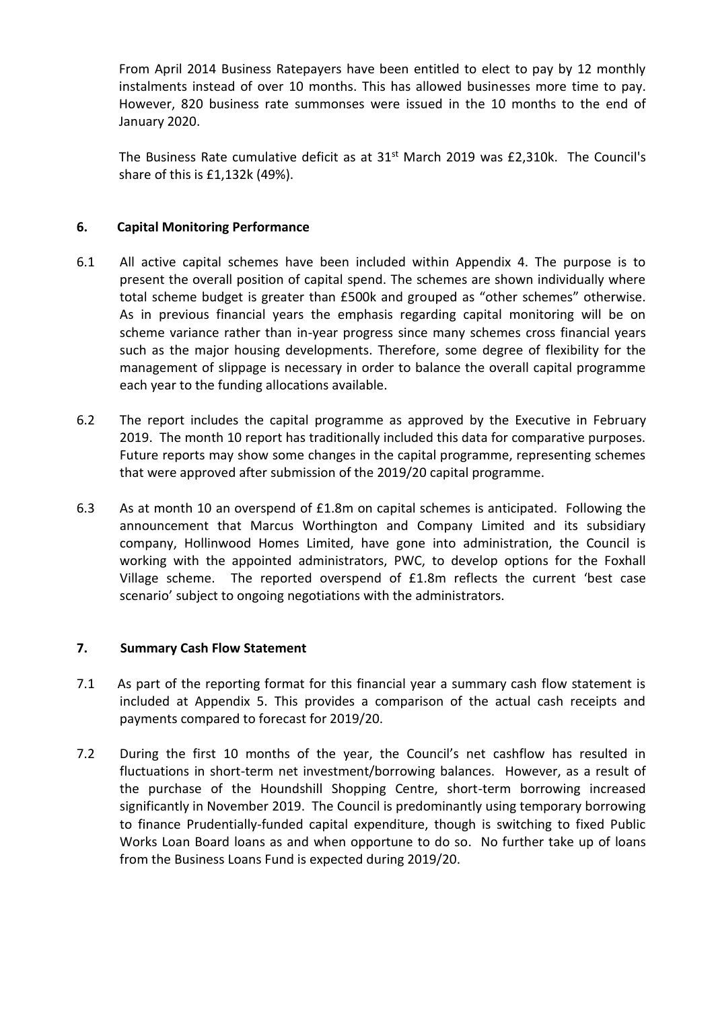From April 2014 Business Ratepayers have been entitled to elect to pay by 12 monthly instalments instead of over 10 months. This has allowed businesses more time to pay. However, 820 business rate summonses were issued in the 10 months to the end of January 2020.

The Business Rate cumulative deficit as at  $31<sup>st</sup>$  March 2019 was £2,310k. The Council's share of this is £1,132k (49%).

# **6. Capital Monitoring Performance**

- 6.1 All active capital schemes have been included within Appendix 4. The purpose is to present the overall position of capital spend. The schemes are shown individually where total scheme budget is greater than £500k and grouped as "other schemes" otherwise. As in previous financial years the emphasis regarding capital monitoring will be on scheme variance rather than in-year progress since many schemes cross financial years such as the major housing developments. Therefore, some degree of flexibility for the management of slippage is necessary in order to balance the overall capital programme each year to the funding allocations available.
- 6.2 The report includes the capital programme as approved by the Executive in February 2019. The month 10 report has traditionally included this data for comparative purposes. Future reports may show some changes in the capital programme, representing schemes that were approved after submission of the 2019/20 capital programme.
- 6.3 As at month 10 an overspend of £1.8m on capital schemes is anticipated. Following the announcement that Marcus Worthington and Company Limited and its subsidiary company, Hollinwood Homes Limited, have gone into administration, the Council is working with the appointed administrators, PWC, to develop options for the Foxhall Village scheme. The reported overspend of £1.8m reflects the current 'best case scenario' subject to ongoing negotiations with the administrators.

# **7. Summary Cash Flow Statement**

- 7.1 As part of the reporting format for this financial year a summary cash flow statement is included at Appendix 5. This provides a comparison of the actual cash receipts and payments compared to forecast for 2019/20.
- 7.2 During the first 10 months of the year, the Council's net cashflow has resulted in fluctuations in short-term net investment/borrowing balances. However, as a result of the purchase of the Houndshill Shopping Centre, short-term borrowing increased significantly in November 2019. The Council is predominantly using temporary borrowing to finance Prudentially-funded capital expenditure, though is switching to fixed Public Works Loan Board loans as and when opportune to do so. No further take up of loans from the Business Loans Fund is expected during 2019/20.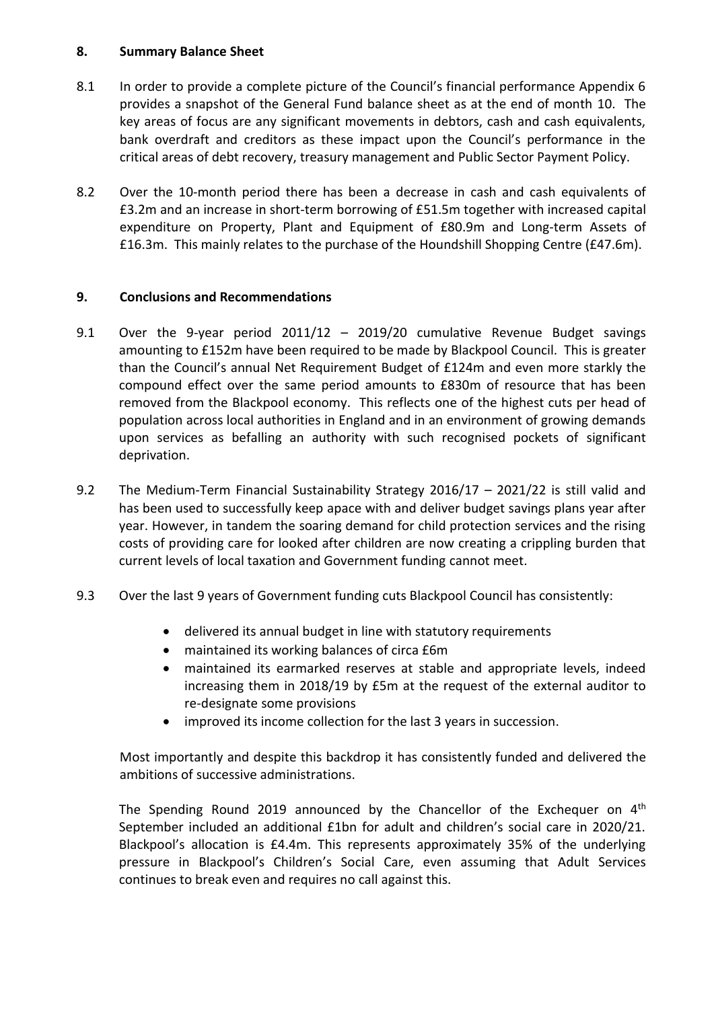# **8. Summary Balance Sheet**

- 8.1 In order to provide a complete picture of the Council's financial performance Appendix 6 provides a snapshot of the General Fund balance sheet as at the end of month 10. The key areas of focus are any significant movements in debtors, cash and cash equivalents, bank overdraft and creditors as these impact upon the Council's performance in the critical areas of debt recovery, treasury management and Public Sector Payment Policy.
- 8.2 Over the 10-month period there has been a decrease in cash and cash equivalents of £3.2m and an increase in short-term borrowing of £51.5m together with increased capital expenditure on Property, Plant and Equipment of £80.9m and Long-term Assets of £16.3m. This mainly relates to the purchase of the Houndshill Shopping Centre (£47.6m).

# **9. Conclusions and Recommendations**

- 9.1 Over the 9-year period 2011/12 2019/20 cumulative Revenue Budget savings amounting to £152m have been required to be made by Blackpool Council. This is greater than the Council's annual Net Requirement Budget of £124m and even more starkly the compound effect over the same period amounts to £830m of resource that has been removed from the Blackpool economy. This reflects one of the highest cuts per head of population across local authorities in England and in an environment of growing demands upon services as befalling an authority with such recognised pockets of significant deprivation.
- 9.2 The Medium-Term Financial Sustainability Strategy 2016/17 2021/22 is still valid and has been used to successfully keep apace with and deliver budget savings plans year after year. However, in tandem the soaring demand for child protection services and the rising costs of providing care for looked after children are now creating a crippling burden that current levels of local taxation and Government funding cannot meet.
- 9.3 Over the last 9 years of Government funding cuts Blackpool Council has consistently:
	- delivered its annual budget in line with statutory requirements
	- maintained its working balances of circa £6m
	- maintained its earmarked reserves at stable and appropriate levels, indeed increasing them in 2018/19 by £5m at the request of the external auditor to re-designate some provisions
	- improved its income collection for the last 3 years in succession.

Most importantly and despite this backdrop it has consistently funded and delivered the ambitions of successive administrations.

The Spending Round 2019 announced by the Chancellor of the Exchequer on  $4<sup>th</sup>$ September included an additional £1bn for adult and children's social care in 2020/21. Blackpool's allocation is £4.4m. This represents approximately 35% of the underlying pressure in Blackpool's Children's Social Care, even assuming that Adult Services continues to break even and requires no call against this.